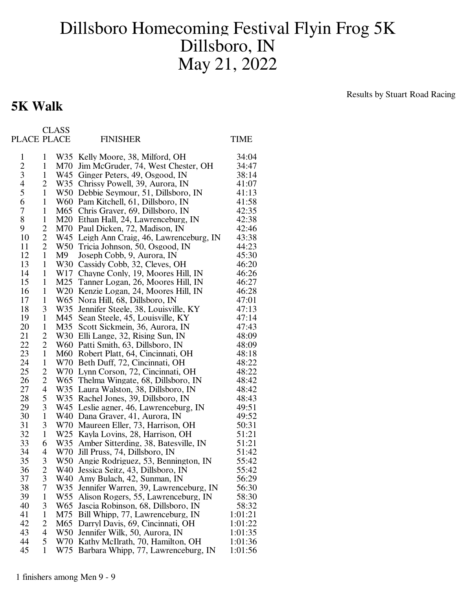## Dillsboro Homecoming Festival Flyin Frog 5K Dillsboro, IN May 21, 2022

## **5K Walk**

Results by Stuart Road Racing

| PLACE PLACE    |                          | <b>CLASS</b>    | <b>FINISHER</b>                           | <b>TIME</b> |
|----------------|--------------------------|-----------------|-------------------------------------------|-------------|
| $\mathbf{1}$   | $\mathbf{1}$             |                 | W35 Kelly Moore, 38, Milford, OH          | 34:04       |
|                | $\mathbf{1}$             |                 | M70 Jim McGruder, 74, West Chester, OH    | 34:47       |
| $\frac{2}{3}$  | $\mathbf{1}$             |                 | W45 Ginger Peters, 49, Osgood, IN         | 38:14       |
| $\overline{4}$ | $\overline{c}$           |                 | W35 Chrissy Powell, 39, Aurora, IN        | 41:07       |
| 5              | $\mathbf{1}$             |                 | W50 Debbie Seymour, 51, Dillsboro, IN     | 41:13       |
| 6              | $\mathbf{1}$             |                 | W60 Pam Kitchell, 61, Dillsboro, IN       | 41:58       |
| 7              | $\mathbf{1}$             |                 | M65 Chris Graver, 69, Dillsboro, IN       | 42:35       |
| 8              | $\mathbf{1}$             |                 | M20 Ethan Hall, 24, Lawrenceburg, IN      | 42:38       |
| 9              | $\overline{c}$           |                 | M70 Paul Dicken, 72, Madison, IN          | 42:46       |
| 10             | $\overline{c}$           |                 | W45 Leigh Ann Craig, 46, Lawrenceburg, IN | 43:38       |
| 11             | $\mathbf{2}$             |                 | W50 Tricia Johnson, 50, Osgood, IN        | 44:23       |
| 12             | $\mathbf{1}$             | M9              | Joseph Cobb, 9, Aurora, IN                | 45:30       |
| 13             | $\mathbf{1}$             |                 | W30 Cassidy Cobb, 32, Cleves, OH          | 46:20       |
| 14             | $\mathbf{1}$             |                 | W17 Chayne Conly, 19, Moores Hill, IN     | 46:26       |
| 15             | $\mathbf{1}$             |                 | M25 Tanner Logan, 26, Moores Hill, IN     | 46:27       |
| 16             | $\mathbf{1}$             |                 | W20 Kenzie Logan, 24, Moores Hill, IN     | 46:28       |
| 17             | $\mathbf{1}$             |                 | W65 Nora Hill, 68, Dillsboro, IN          | 47:01       |
| 18             | 3                        |                 | W35 Jennifer Steele, 38, Louisville, KY   | 47:13       |
| 19             | $\mathbf{1}$             |                 | M45 Sean Steele, 45, Louisville, KY       | 47:14       |
| 20             | $\mathbf{1}$             |                 | M35 Scott Sickmein, 36, Aurora, IN        | 47:43       |
| 21             | 2                        |                 | W30 Elli Lange, 32, Rising Sun, IN        | 48:09       |
| 22             | 2                        |                 | W60 Patti Smith, 63, Dillsboro, IN        | 48:09       |
| 23             | $\mathbf{1}$             |                 | M60 Robert Platt, 64, Cincinnati, OH      | 48:18       |
| 24             | $\mathbf{1}$             |                 | W70 Beth Duff, 72, Cincinnati, OH         | 48:22       |
| 25             | $\overline{c}$           |                 | W70 Lynn Corson, 72, Cincinnati, OH       | 48:22       |
| 26             | $\overline{c}$           |                 | W65 Thelma Wingate, 68, Dillsboro, IN     | 48:42       |
| 27             | $\overline{\mathcal{A}}$ |                 | W35 Laura Walston, 38, Dillsboro, IN      | 48:42       |
| 28             | 5                        |                 | W35 Rachel Jones, 39, Dillsboro, IN       | 48:43       |
| 29             | 3                        |                 | W45 Leslie agner, 46, Lawrenceburg, IN    | 49:51       |
| 30             | $\mathbf{1}$             |                 | W40 Dana Graver, 41, Aurora, IN           | 49:52       |
| 31             | 3                        |                 | W70 Maureen Eller, 73, Harrison, OH       | 50:31       |
| 32             | $\mathbf{1}$             |                 | W25 Kayla Lovins, 28, Harrison, OH        | 51:21       |
| 33             | 6                        |                 | W35 Amber Sitterding, 38, Batesville, IN  | 51:21       |
| 34             | 4                        |                 | W70 Jill Pruss, 74, Dillsboro, IN         | 51:42       |
| 35             | 3                        |                 | W50 Angie Rodriguez, 53, Bennington, IN   | 55:42       |
| 36             | $\frac{2}{3}$            | W40             | Jessica Seitz, 43, Dillsboro, IN          | 55:42       |
| 37             |                          | W40             | Amy Bulach, 42, Sunman, IN                | 56:29       |
| 38             | $\overline{7}$           | W35             | Jennifer Warren, 39, Lawrenceburg, IN     | 56:30       |
| 39             | $\mathbf{1}$             | W55             | Alison Rogers, 55, Lawrenceburg, IN       | 58:30       |
| 40             | 3                        | W <sub>65</sub> | Jascia Robinson, 68, Dillsboro, IN        | 58:32       |
| 41             | $\mathbf{1}$             | M75             | Bill Whipp, 77, Lawrenceburg, IN          | 1:01:21     |
| 42             | $\overline{\mathbf{c}}$  | M65             | Darryl Davis, 69, Cincinnati, OH          | 1:01:22     |
| 43             | $\overline{\mathcal{A}}$ | W <sub>50</sub> | Jennifer Wilk, 50, Aurora, IN             | 1:01:35     |
| 44             | 5                        | W70             | Kathy McIlrath, 70, Hamilton, OH          | 1:01:36     |
| 45             | $\mathbf{1}$             | W75             | Barbara Whipp, 77, Lawrenceburg, IN       | 1:01:56     |